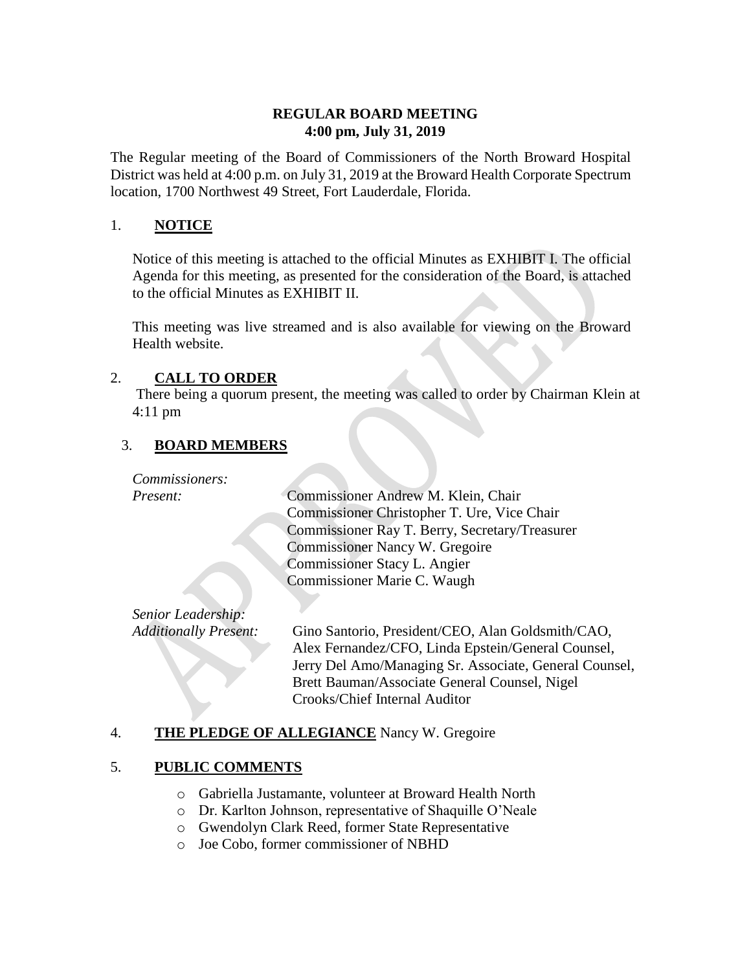# **REGULAR BOARD MEETING 4:00 pm, July 31, 2019**

The Regular meeting of the Board of Commissioners of the North Broward Hospital District was held at 4:00 p.m. on July 31, 2019 at the Broward Health Corporate Spectrum location, 1700 Northwest 49 Street, Fort Lauderdale, Florida.

# 1. **NOTICE**

Notice of this meeting is attached to the official Minutes as EXHIBIT I. The official Agenda for this meeting, as presented for the consideration of the Board, is attached to the official Minutes as EXHIBIT II.

This meeting was live streamed and is also available for viewing on the Broward Health website.

# 2. **CALL TO ORDER**

There being a quorum present, the meeting was called to order by Chairman Klein at 4:11 pm

# 3. **BOARD MEMBERS**

*Commissioners:*

*Present:* Commissioner Andrew M. Klein, Chair Commissioner Christopher T. Ure, Vice Chair Commissioner Ray T. Berry, Secretary/Treasurer Commissioner Nancy W. Gregoire Commissioner Stacy L. Angier Commissioner Marie C. Waugh

*Senior Leadership:*

*Additionally Present:* Gino Santorio, President/CEO, Alan Goldsmith/CAO, Alex Fernandez/CFO, Linda Epstein/General Counsel, Jerry Del Amo/Managing Sr. Associate, General Counsel, Brett Bauman/Associate General Counsel, Nigel Crooks/Chief Internal Auditor

# 4. **THE PLEDGE OF ALLEGIANCE** Nancy W. Gregoire

# 5. **PUBLIC COMMENTS**

- o Gabriella Justamante, volunteer at Broward Health North
- o Dr. Karlton Johnson, representative of Shaquille O'Neale
- o Gwendolyn Clark Reed, former State Representative
- o Joe Cobo, former commissioner of NBHD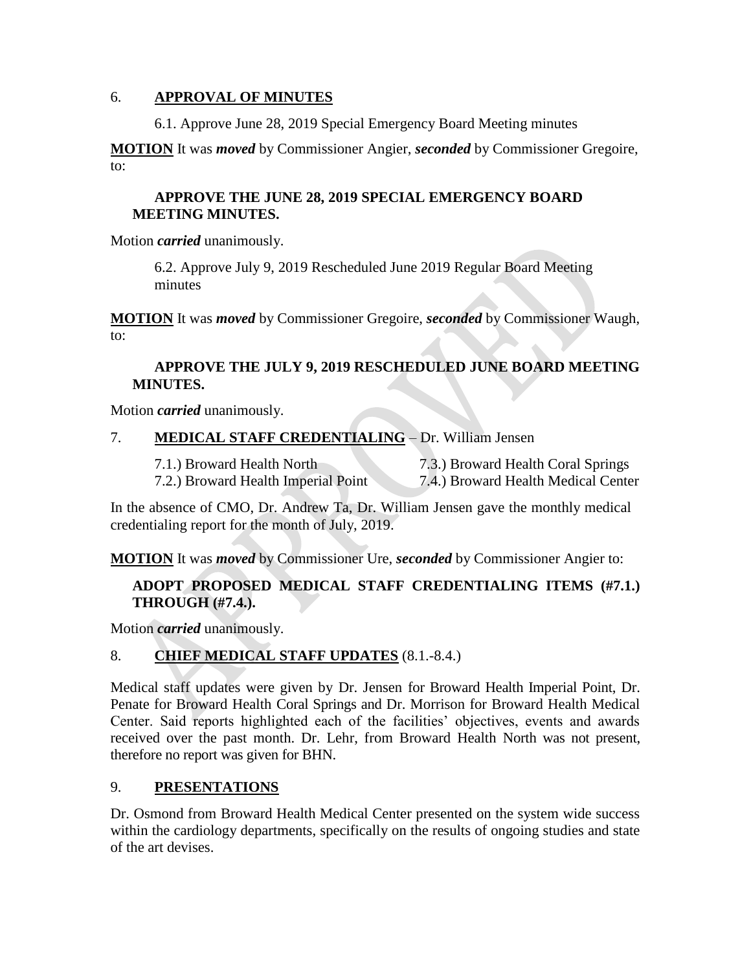#### 6. **APPROVAL OF MINUTES**

6.1. Approve June 28, 2019 Special Emergency Board Meeting minutes

**MOTION** It was *moved* by Commissioner Angier, *seconded* by Commissioner Gregoire, to:

# **APPROVE THE JUNE 28, 2019 SPECIAL EMERGENCY BOARD MEETING MINUTES.**

Motion *carried* unanimously.

6.2. Approve July 9, 2019 Rescheduled June 2019 Regular Board Meeting minutes

**MOTION** It was *moved* by Commissioner Gregoire, *seconded* by Commissioner Waugh, to:

# **APPROVE THE JULY 9, 2019 RESCHEDULED JUNE BOARD MEETING MINUTES.**

Motion *carried* unanimously.

# 7. **MEDICAL STAFF CREDENTIALING** – Dr. William Jensen

7.1.) Broward Health North 7.3.) Broward Health Coral Springs 7.2.) Broward Health Imperial Point 7.4.) Broward Health Medical Center

In the absence of CMO, Dr. Andrew Ta, Dr. William Jensen gave the monthly medical credentialing report for the month of July, 2019.

**MOTION** It was *moved* by Commissioner Ure, *seconded* by Commissioner Angier to:

# **ADOPT PROPOSED MEDICAL STAFF CREDENTIALING ITEMS (#7.1.) THROUGH (#7.4.).**

Motion *carried* unanimously.

# 8. **CHIEF MEDICAL STAFF UPDATES** (8.1.-8.4.)

Medical staff updates were given by Dr. Jensen for Broward Health Imperial Point, Dr. Penate for Broward Health Coral Springs and Dr. Morrison for Broward Health Medical Center. Said reports highlighted each of the facilities' objectives, events and awards received over the past month. Dr. Lehr, from Broward Health North was not present, therefore no report was given for BHN.

# 9. **PRESENTATIONS**

Dr. Osmond from Broward Health Medical Center presented on the system wide success within the cardiology departments, specifically on the results of ongoing studies and state of the art devises.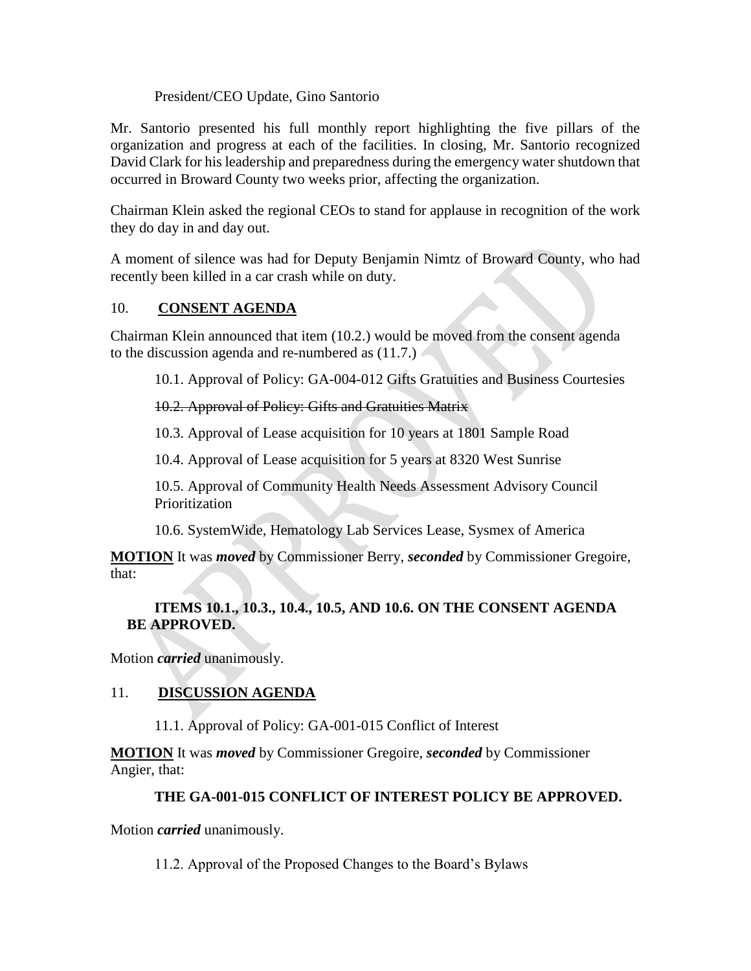President/CEO Update, Gino Santorio

Mr. Santorio presented his full monthly report highlighting the five pillars of the organization and progress at each of the facilities. In closing, Mr. Santorio recognized David Clark for his leadership and preparedness during the emergency water shutdown that occurred in Broward County two weeks prior, affecting the organization.

Chairman Klein asked the regional CEOs to stand for applause in recognition of the work they do day in and day out.

A moment of silence was had for Deputy Benjamin Nimtz of Broward County, who had recently been killed in a car crash while on duty.

# 10. **CONSENT AGENDA**

Chairman Klein announced that item (10.2.) would be moved from the consent agenda to the discussion agenda and re-numbered as (11.7.)

10.1. Approval of Policy: GA-004-012 Gifts Gratuities and Business Courtesies

# 10.2. Approval of Policy: Gifts and Gratuities Matrix

10.3. Approval of Lease acquisition for 10 years at 1801 Sample Road

10.4. Approval of Lease acquisition for 5 years at 8320 West Sunrise

10.5. Approval of Community Health Needs Assessment Advisory Council Prioritization

10.6. SystemWide, Hematology Lab Services Lease, Sysmex of America

**MOTION** It was *moved* by Commissioner Berry, *seconded* by Commissioner Gregoire, that:

# **ITEMS 10.1., 10.3., 10.4., 10.5, AND 10.6. ON THE CONSENT AGENDA BE APPROVED.**

Motion *carried* unanimously.

# 11. **DISCUSSION AGENDA**

11.1. Approval of Policy: GA-001-015 Conflict of Interest

**MOTION** It was *moved* by Commissioner Gregoire, *seconded* by Commissioner Angier, that:

# **THE GA-001-015 CONFLICT OF INTEREST POLICY BE APPROVED.**

Motion *carried* unanimously.

11.2. Approval of the Proposed Changes to the Board's Bylaws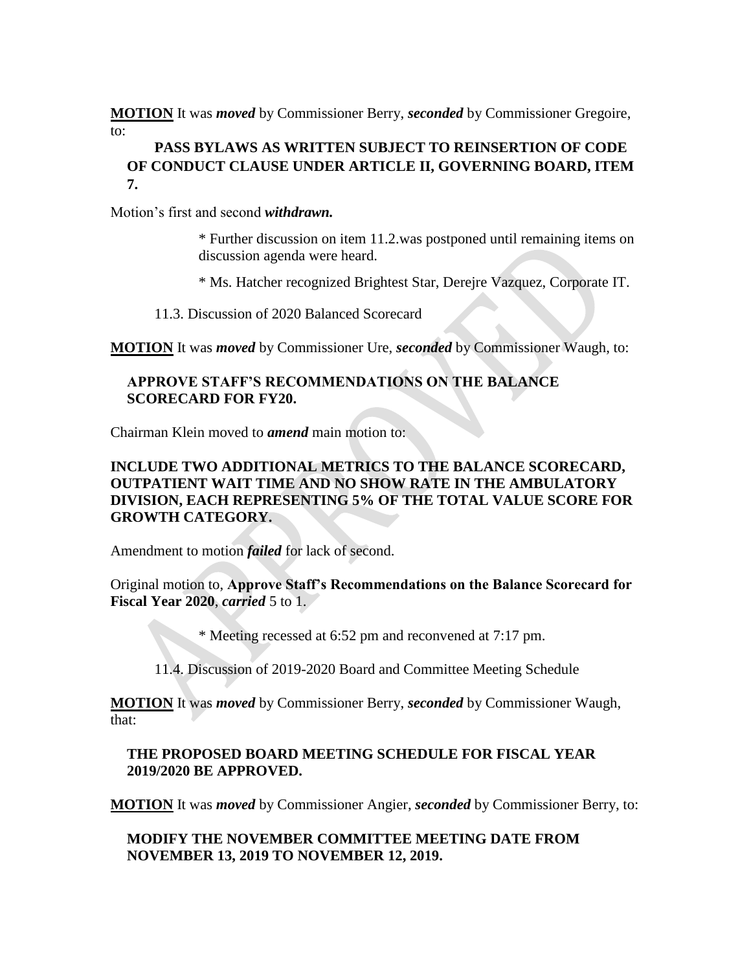**MOTION** It was *moved* by Commissioner Berry, *seconded* by Commissioner Gregoire, to:

# **PASS BYLAWS AS WRITTEN SUBJECT TO REINSERTION OF CODE OF CONDUCT CLAUSE UNDER ARTICLE II, GOVERNING BOARD, ITEM 7.**

Motion's first and second *withdrawn.* 

\* Further discussion on item 11.2.was postponed until remaining items on discussion agenda were heard.

\* Ms. Hatcher recognized Brightest Star, Derejre Vazquez, Corporate IT.

11.3. Discussion of 2020 Balanced Scorecard

**MOTION** It was *moved* by Commissioner Ure, *seconded* by Commissioner Waugh, to:

#### **APPROVE STAFF'S RECOMMENDATIONS ON THE BALANCE SCORECARD FOR FY20.**

Chairman Klein moved to *amend* main motion to:

#### **INCLUDE TWO ADDITIONAL METRICS TO THE BALANCE SCORECARD, OUTPATIENT WAIT TIME AND NO SHOW RATE IN THE AMBULATORY DIVISION, EACH REPRESENTING 5% OF THE TOTAL VALUE SCORE FOR GROWTH CATEGORY.**

Amendment to motion *failed* for lack of second.

Original motion to, **Approve Staff's Recommendations on the Balance Scorecard for Fiscal Year 2020**, *carried* 5 to 1.

\* Meeting recessed at 6:52 pm and reconvened at 7:17 pm.

11.4. Discussion of 2019-2020 Board and Committee Meeting Schedule

**MOTION** It was *moved* by Commissioner Berry, *seconded* by Commissioner Waugh, that:

#### **THE PROPOSED BOARD MEETING SCHEDULE FOR FISCAL YEAR 2019/2020 BE APPROVED.**

**MOTION** It was *moved* by Commissioner Angier, *seconded* by Commissioner Berry, to:

**MODIFY THE NOVEMBER COMMITTEE MEETING DATE FROM NOVEMBER 13, 2019 TO NOVEMBER 12, 2019.**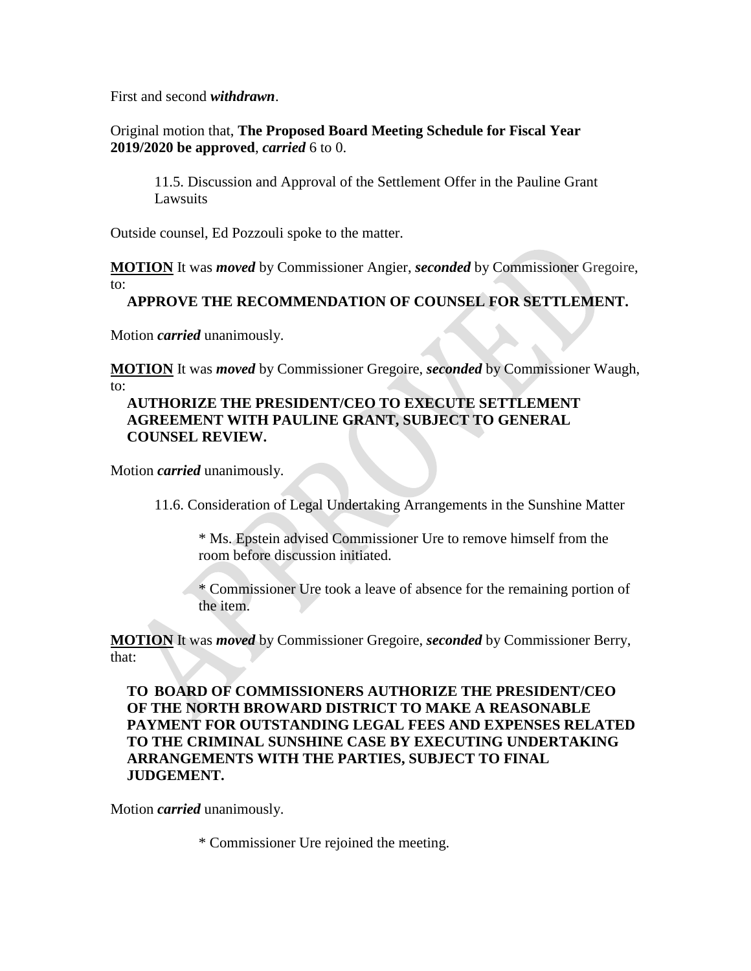First and second *withdrawn*.

Original motion that, **The Proposed Board Meeting Schedule for Fiscal Year 2019/2020 be approved**, *carried* 6 to 0.

11.5. Discussion and Approval of the Settlement Offer in the Pauline Grant Lawsuits

Outside counsel, Ed Pozzouli spoke to the matter.

**MOTION** It was *moved* by Commissioner Angier, *seconded* by Commissioner Gregoire, to:

# **APPROVE THE RECOMMENDATION OF COUNSEL FOR SETTLEMENT.**

Motion *carried* unanimously.

**MOTION** It was *moved* by Commissioner Gregoire, *seconded* by Commissioner Waugh, to:

#### **AUTHORIZE THE PRESIDENT/CEO TO EXECUTE SETTLEMENT AGREEMENT WITH PAULINE GRANT, SUBJECT TO GENERAL COUNSEL REVIEW.**

Motion *carried* unanimously.

11.6. Consideration of Legal Undertaking Arrangements in the Sunshine Matter

\* Ms. Epstein advised Commissioner Ure to remove himself from the room before discussion initiated.

\* Commissioner Ure took a leave of absence for the remaining portion of the item.

**MOTION** It was *moved* by Commissioner Gregoire, *seconded* by Commissioner Berry, that:

**TO BOARD OF COMMISSIONERS AUTHORIZE THE PRESIDENT/CEO OF THE NORTH BROWARD DISTRICT TO MAKE A REASONABLE PAYMENT FOR OUTSTANDING LEGAL FEES AND EXPENSES RELATED TO THE CRIMINAL SUNSHINE CASE BY EXECUTING UNDERTAKING ARRANGEMENTS WITH THE PARTIES, SUBJECT TO FINAL JUDGEMENT.** 

Motion *carried* unanimously.

\* Commissioner Ure rejoined the meeting.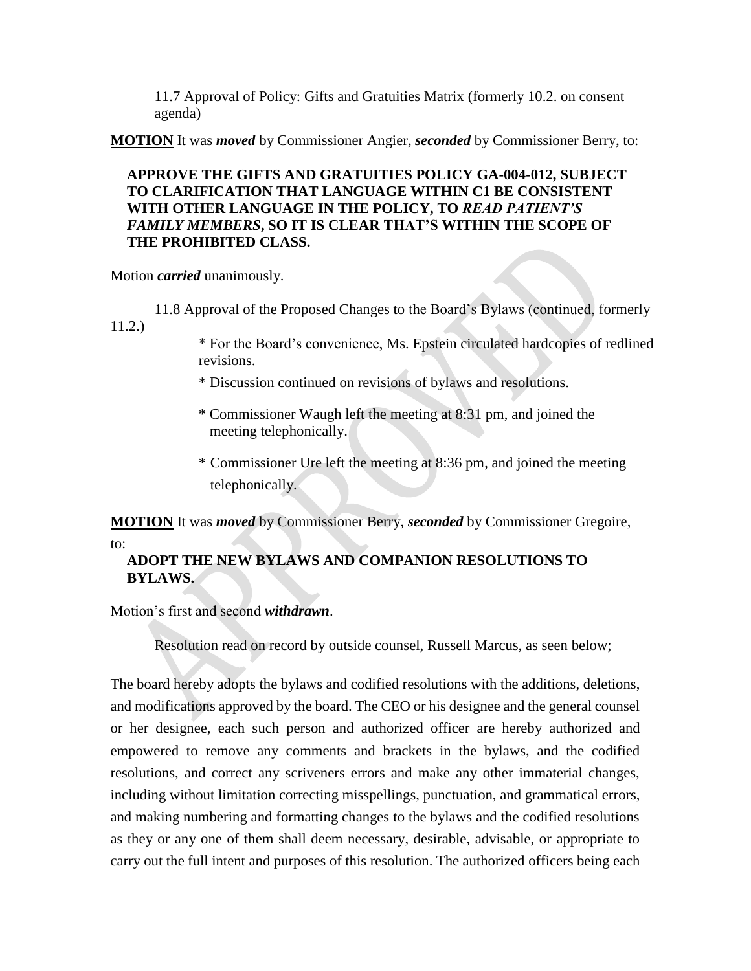11.7 Approval of Policy: Gifts and Gratuities Matrix (formerly 10.2. on consent agenda)

**MOTION** It was *moved* by Commissioner Angier, *seconded* by Commissioner Berry, to:

# **APPROVE THE GIFTS AND GRATUITIES POLICY GA-004-012, SUBJECT TO CLARIFICATION THAT LANGUAGE WITHIN C1 BE CONSISTENT WITH OTHER LANGUAGE IN THE POLICY, TO** *READ PATIENT'S FAMILY MEMBERS***, SO IT IS CLEAR THAT'S WITHIN THE SCOPE OF THE PROHIBITED CLASS.**

Motion *carried* unanimously.

11.8 Approval of the Proposed Changes to the Board's Bylaws (continued, formerly 11.2.)

\* For the Board's convenience, Ms. Epstein circulated hardcopies of redlined revisions.

- \* Discussion continued on revisions of bylaws and resolutions.
- \* Commissioner Waugh left the meeting at 8:31 pm, and joined the meeting telephonically.
- \* Commissioner Ure left the meeting at 8:36 pm, and joined the meeting telephonically.

**MOTION** It was *moved* by Commissioner Berry, *seconded* by Commissioner Gregoire,

to:

# **ADOPT THE NEW BYLAWS AND COMPANION RESOLUTIONS TO BYLAWS.**

Motion's first and second *withdrawn*.

Resolution read on record by outside counsel, Russell Marcus, as seen below;

The board hereby adopts the bylaws and codified resolutions with the additions, deletions, and modifications approved by the board. The CEO or his designee and the general counsel or her designee, each such person and authorized officer are hereby authorized and empowered to remove any comments and brackets in the bylaws, and the codified resolutions, and correct any scriveners errors and make any other immaterial changes, including without limitation correcting misspellings, punctuation, and grammatical errors, and making numbering and formatting changes to the bylaws and the codified resolutions as they or any one of them shall deem necessary, desirable, advisable, or appropriate to carry out the full intent and purposes of this resolution. The authorized officers being each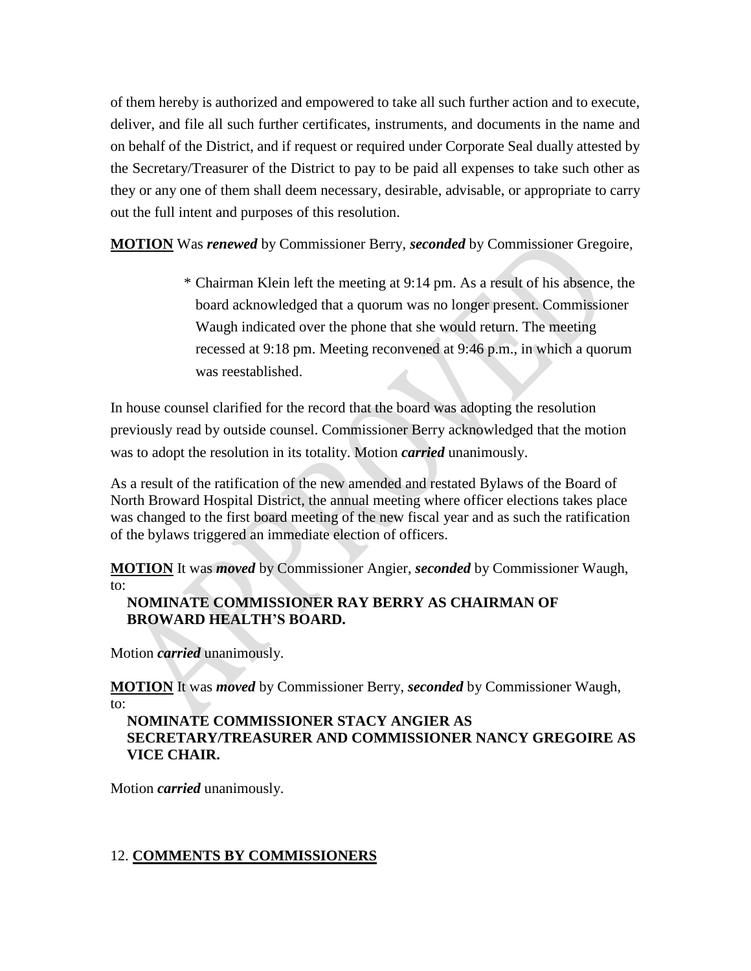of them hereby is authorized and empowered to take all such further action and to execute, deliver, and file all such further certificates, instruments, and documents in the name and on behalf of the District, and if request or required under Corporate Seal dually attested by the Secretary/Treasurer of the District to pay to be paid all expenses to take such other as they or any one of them shall deem necessary, desirable, advisable, or appropriate to carry out the full intent and purposes of this resolution.

**MOTION** Was *renewed* by Commissioner Berry, *seconded* by Commissioner Gregoire,

\* Chairman Klein left the meeting at 9:14 pm. As a result of his absence, the board acknowledged that a quorum was no longer present. Commissioner Waugh indicated over the phone that she would return. The meeting recessed at 9:18 pm. Meeting reconvened at 9:46 p.m., in which a quorum was reestablished.

In house counsel clarified for the record that the board was adopting the resolution previously read by outside counsel. Commissioner Berry acknowledged that the motion was to adopt the resolution in its totality. Motion *carried* unanimously.

As a result of the ratification of the new amended and restated Bylaws of the Board of North Broward Hospital District, the annual meeting where officer elections takes place was changed to the first board meeting of the new fiscal year and as such the ratification of the bylaws triggered an immediate election of officers.

**MOTION** It was *moved* by Commissioner Angier, *seconded* by Commissioner Waugh, to:

# **NOMINATE COMMISSIONER RAY BERRY AS CHAIRMAN OF BROWARD HEALTH'S BOARD.**

Motion *carried* unanimously.

**MOTION** It was *moved* by Commissioner Berry, *seconded* by Commissioner Waugh, to:

# **NOMINATE COMMISSIONER STACY ANGIER AS SECRETARY/TREASURER AND COMMISSIONER NANCY GREGOIRE AS VICE CHAIR.**

Motion *carried* unanimously.

# 12. **COMMENTS BY COMMISSIONERS**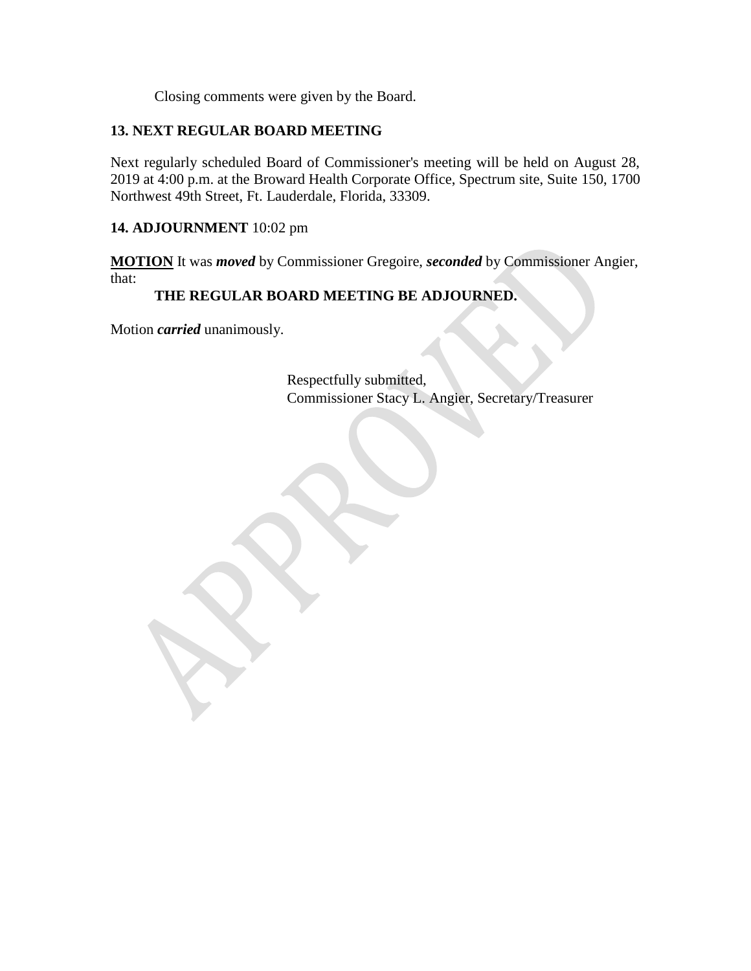Closing comments were given by the Board.

### **13. NEXT REGULAR BOARD MEETING**

Next regularly scheduled Board of Commissioner's meeting will be held on August 28, 2019 at 4:00 p.m. at the Broward Health Corporate Office, Spectrum site, Suite 150, 1700 Northwest 49th Street, Ft. Lauderdale, Florida, 33309.

#### **14. ADJOURNMENT** 10:02 pm

**MOTION** It was *moved* by Commissioner Gregoire, *seconded* by Commissioner Angier, that:

#### **THE REGULAR BOARD MEETING BE ADJOURNED.**

Motion *carried* unanimously.

Respectfully submitted, Commissioner Stacy L. Angier, Secretary/Treasurer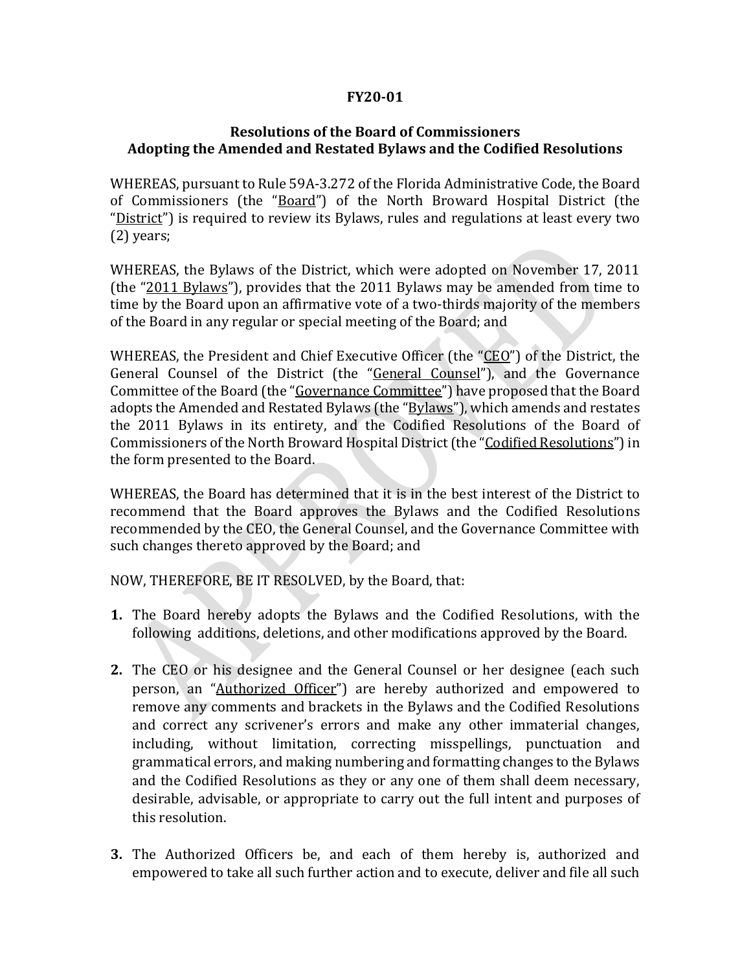# **FY20-01**

### **Resolutions of the Board of Commissioners Adopting the Amended and Restated Bylaws and the Codified Resolutions**

WHEREAS, pursuant to Rule 59A-3.272 of the Florida Administrative Code, the Board of Commissioners (the "Board") of the North Broward Hospital District (the "District") is required to review its Bylaws, rules and regulations at least every two (2) years;

WHEREAS, the Bylaws of the District, which were adopted on November 17, 2011 (the "2011 Bylaws"), provides that the 2011 Bylaws may be amended from time to time by the Board upon an affirmative vote of a two-thirds majority of the members of the Board in any regular or special meeting of the Board; and

WHEREAS, the President and Chief Executive Officer (the "CEO") of the District, the General Counsel of the District (the "General Counsel"), and the Governance Committee of the Board (the "Governance Committee") have proposed that the Board adopts the Amended and Restated Bylaws (the "Bylaws"), which amends and restates the 2011 Bylaws in its entirety, and the Codified Resolutions of the Board of Commissioners of the North Broward Hospital District (the "Codified Resolutions") in the form presented to the Board.

WHEREAS, the Board has determined that it is in the best interest of the District to recommend that the Board approves the Bylaws and the Codified Resolutions recommended by the CEO, the General Counsel, and the Governance Committee with such changes thereto approved by the Board; and

NOW, THEREFORE, BE IT RESOLVED, by the Board, that:

- **1.** The Board hereby adopts the Bylaws and the Codified Resolutions, with the following additions, deletions, and other modifications approved by the Board.
- **2.** The CEO or his designee and the General Counsel or her designee (each such person, an "Authorized Officer") are hereby authorized and empowered to remove any comments and brackets in the Bylaws and the Codified Resolutions and correct any scrivener's errors and make any other immaterial changes, including, without limitation, correcting misspellings, punctuation and grammatical errors, and making numbering and formatting changes to the Bylaws and the Codified Resolutions as they or any one of them shall deem necessary, desirable, advisable, or appropriate to carry out the full intent and purposes of this resolution.
- **3.** The Authorized Officers be, and each of them hereby is, authorized and empowered to take all such further action and to execute, deliver and file all such